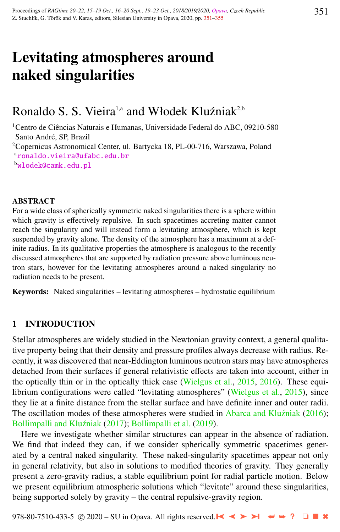# Levitating atmospheres around naked singularities

# Ronaldo S. S. Vieira<sup>1,a</sup> and Włodek Kluźniak<sup>2,b</sup>

<sup>1</sup>Centro de Ciências Naturais e Humanas, Universidade Federal do ABC, 09210-580 Santo André, SP, Brazil <sup>2</sup>Copernicus Astronomical Center, ul. Bartycka 18, PL-00-716, Warszawa, Poland a[ronaldo.vieira@ufabc.edu.br](http://www.physics.cz/ ronaldo.vieira@ufabc.edu.br) <sup>b</sup>[wlodek@camk.edu.pl](http://www.physics.cz/ wlodek@camk.edu.pl)

#### ABSTRACT

For a wide class of spherically symmetric naked singularities there is a sphere within which gravity is effectively repulsive. In such spacetimes accreting matter cannot reach the singularity and will instead form a levitating atmosphere, which is kept suspended by gravity alone. The density of the atmosphere has a maximum at a definite radius. In its qualitative properties the atmosphere is analogous to the recently discussed atmospheres that are supported by radiation pressure above luminous neutron stars, however for the levitating atmospheres around a naked singularity no radiation needs to be present.

Keywords: Naked singularities – levitating atmospheres – hydrostatic equilibrium

# 1 INTRODUCTION

Stellar atmospheres are widely studied in the Newtonian gravity context, a general qualitative property being that their density and pressure profiles always decrease with radius. Recently, it was discovered that near-Eddington luminous neutron stars may have atmospheres detached from their surfaces if general relativistic effects are taken into account, either in the optically thin or in the optically thick case [\(Wielgus et al.,](#page-4-0) [2015,](#page-4-0) [2016\)](#page-4-0). These equi-librium configurations were called "levitating atmospheres" [\(Wielgus et al.,](#page-4-0) [2015\)](#page-4-0), since they lie at a finite distance from the stellar surface and have definite inner and outer radii. The oscillation modes of these atmospheres were studied in Abarca and Kluźniak [\(2016\)](#page-3-0); Bollimpalli and Kluźniak [\(2017\)](#page-4-0); [Bollimpalli et al.](#page-4-0) [\(2019\)](#page-4-0).

Here we investigate whether similar structures can appear in the absence of radiation. We find that indeed they can, if we consider spherically symmetric spacetimes generated by a central naked singularity. These naked-singularity spacetimes appear not only in general relativity, but also in solutions to modified theories of gravity. They generally present a zero-gravity radius, a stable equilibrium point for radial particle motion. Below we present equilibrium atmospheric solutions which "levitate" around these singularities, being supported solely by gravity – the central repulsive-gravity region.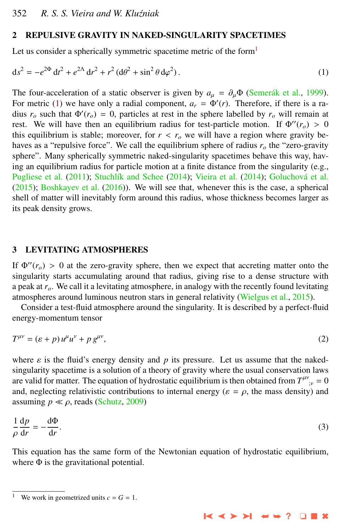#### <span id="page-1-0"></span>2 REPULSIVE GRAVITY IN NAKED-SINGULARITY SPACETIMES

Let us consider a spherically symmetric spacetime metric of the form<sup>1</sup>

$$
ds^{2} = -e^{2\Phi} dt^{2} + e^{2\Lambda} dr^{2} + r^{2} (d\theta^{2} + \sin^{2} \theta d\varphi^{2}).
$$
 (1)

The four-acceleration of a static observer is given by  $a_{\mu} = \partial_{\mu} \Phi$  (Semerák et al., [1999\)](#page-4-0). For metric (1) we have only a radial component,  $a_r = \Phi'(r)$ . Therefore, if there is a radius  $r_o$  such that  $\Phi'(r_o) = 0$ , particles at rest in the sphere labelled by  $r_o$  will remain at rest. We will have then an equilibrium radius for test-particle motion. If  $\Phi''(r_o) > 0$ this equilibrium is stable; moreover, for  $r < r<sub>o</sub>$  we will have a region where gravity behaves as a "repulsive force". We call the equilibrium sphere of radius  $r<sub>o</sub>$  the "zero-gravity" sphere". Many spherically symmetric naked-singularity spacetimes behave this way, having an equilibrium radius for particle motion at a finite distance from the singularity (e.g., [Pugliese et al.](#page-4-0) [\(2011\)](#page-4-0); Stuchlík and Schee [\(2014\)](#page-4-0); [Vieira et al.](#page-4-0) (2014); Goluchová et al. [\(2015\)](#page-4-0); [Boshkayev et al.](#page-4-0) [\(2016\)](#page-4-0)). We will see that, whenever this is the case, a spherical shell of matter will inevitably form around this radius, whose thickness becomes larger as its peak density grows.

#### 3 LEVITATING ATMOSPHERES

If  $\Phi''(r_o) > 0$  at the zero-gravity sphere, then we expect that accreting matter onto the singularity starts accumulating around that radius, giving rise to a dense structure with a peak at *ro*. We call it a levitating atmosphere, in analogy with the recently found levitating atmospheres around luminous neutron stars in general relativity [\(Wielgus et al.,](#page-4-0) [2015\)](#page-4-0).

Consider a test-fluid atmosphere around the singularity. It is described by a perfect-fluid energy-momentum tensor

$$
T^{\mu\nu} = (\varepsilon + p) u^{\mu} u^{\nu} + p g^{\mu\nu}, \tag{2}
$$

where  $\varepsilon$  is the fluid's energy density and p its pressure. Let us assume that the nakedsingularity spacetime is a solution of a theory of gravity where the usual conservation laws are valid for matter. The equation of hydrostatic equilibrium is then obtained from  $T^{\mu\nu}_{;\nu} = 0$ <br>and postering relativistic contributions to internal energy ( $c = c$ , the mass density) and and, neglecting relativistic contributions to internal energy ( $\varepsilon = \rho$ , the mass density) and assuming  $p \ll \rho$ , reads [\(Schutz,](#page-4-0) [2009\)](#page-4-0)

$$
\frac{1}{\rho} \frac{dp}{dr} = -\frac{d\Phi}{dr}.
$$
\n(3)

This equation has the same form of the Newtonian equation of hydrostatic equilibrium, where  $\Phi$  is the gravitational potential.

➤❙ ➤➤ ➤❙ ➥➥ **?** ❏ ■ ✖

We work in geometrized units  $c = G = 1$ .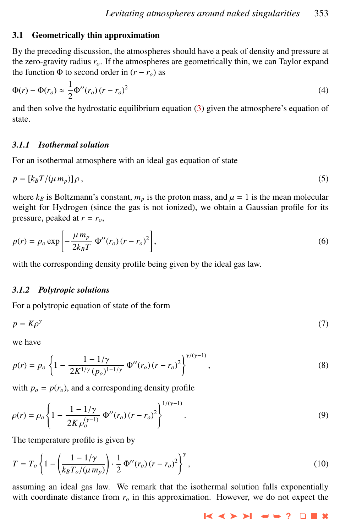#### 3.1 Geometrically thin approximation

By the preceding discussion, the atmospheres should have a peak of density and pressure at the zero-gravity radius *ro*. If the atmospheres are geometrically thin, we can Taylor expand the function  $\Phi$  to second order in  $(r - r_o)$  as

$$
\Phi(r) - \Phi(r_o) \approx \frac{1}{2} \Phi^{\prime\prime}(r_o) (r - r_o)^2 \tag{4}
$$

and then solve the hydrostatic equilibrium equation [\(3\)](#page-1-0) given the atmosphere's equation of state.

# *3.1.1 Isothermal solution*

For an isothermal atmosphere with an ideal gas equation of state

$$
p = [k_B T / (\mu \, m_p)] \, \rho \,, \tag{5}
$$

where  $k_B$  is Boltzmann's constant,  $m_p$  is the proton mass, and  $\mu = 1$  is the mean molecular weight for Hydrogen (since the gas is not ionized), we obtain a Gaussian profile for its pressure, peaked at  $r = r_o$ ,

$$
p(r) = p_o \exp\left[-\frac{\mu m_p}{2k_B T} \Phi^{\prime\prime}(r_o) (r - r_o)^2\right],\tag{6}
$$

with the corresponding density profile being given by the ideal gas law.

#### *3.1.2 Polytropic solutions*

For a polytropic equation of state of the form

$$
p = K\rho^{\gamma} \tag{7}
$$

we have

$$
p(r) = p_o \left\{ 1 - \frac{1 - 1/\gamma}{2K^{1/\gamma} (p_o)^{1 - 1/\gamma}} \Phi''(r_o) (r - r_o)^2 \right\}^{\gamma/(\gamma - 1)},
$$
\n(8)

with  $p_o = p(r_o)$ , and a corresponding density profile

$$
\rho(r) = \rho_o \left\{ 1 - \frac{1 - 1/\gamma}{2K \rho_o^{(\gamma - 1)}} \Phi''(r_o) (r - r_o)^2 \right\}^{1/(\gamma - 1)}.
$$
\n(9)

The temperature profile is given by

$$
T = T_o \left\{ 1 - \left( \frac{1 - 1/\gamma}{k_B T_o / (\mu \, m_p)} \right) \cdot \frac{1}{2} \, \Phi''(r_o) \left( r - r_o \right)^2 \right\}^{\gamma},\tag{10}
$$

assuming an ideal gas law. We remark that the isothermal solution falls exponentially with coordinate distance from  $r<sub>o</sub>$  in this approximation. However, we do not expect the

➤❙ ➤➤ ➤❙ ➥➥ **?** ❏ ■ ✖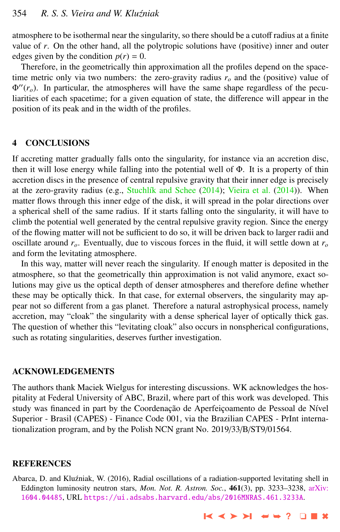<span id="page-3-0"></span>atmosphere to be isothermal near the singularity, so there should be a cutoff radius at a finite value of *r*. On the other hand, all the polytropic solutions have (positive) inner and outer edges given by the condition  $p(r) = 0$ .

Therefore, in the geometrically thin approximation all the profiles depend on the spacetime metric only via two numbers: the zero-gravity radius  $r<sub>o</sub>$  and the (positive) value of  $\Phi''(r_o)$ . In particular, the atmospheres will have the same shape regardless of the peculiarities of each spacetime; for a given equation of state, the difference will appear in the position of its peak and in the width of the profiles.

#### 4 CONCLUSIONS

If accreting matter gradually falls onto the singularity, for instance via an accretion disc, then it will lose energy while falling into the potential well of Φ. It is a property of thin accretion discs in the presence of central repulsive gravity that their inner edge is precisely at the zero-gravity radius (e.g., Stuchlík and Schee [\(2014\)](#page-4-0); [Vieira et al.](#page-4-0) (2014)). When matter flows through this inner edge of the disk, it will spread in the polar directions over a spherical shell of the same radius. If it starts falling onto the singularity, it will have to climb the potential well generated by the central repulsive gravity region. Since the energy of the flowing matter will not be sufficient to do so, it will be driven back to larger radii and oscillate around *ro*. Eventually, due to viscous forces in the fluid, it will settle down at *r<sup>o</sup>* and form the levitating atmosphere.

In this way, matter will never reach the singularity. If enough matter is deposited in the atmosphere, so that the geometrically thin approximation is not valid anymore, exact solutions may give us the optical depth of denser atmospheres and therefore define whether these may be optically thick. In that case, for external observers, the singularity may appear not so different from a gas planet. Therefore a natural astrophysical process, namely accretion, may "cloak" the singularity with a dense spherical layer of optically thick gas. The question of whether this "levitating cloak" also occurs in nonspherical configurations, such as rotating singularities, deserves further investigation.

#### ACKNOWLEDGEMENTS

The authors thank Maciek Wielgus for interesting discussions. WK acknowledges the hospitality at Federal University of ABC, Brazil, where part of this work was developed. This study was financed in part by the Coordenação de Aperfeiçoamento de Pessoal de Nível Superior - Brasil (CAPES) - Finance Code 001, via the Brazilian CAPES - PrInt internationalization program, and by the Polish NCN grant No. 2019/33/B/ST9/01564.

## **REFERENCES**

Abarca, D. and Kluźniak, W. (2016), Radial oscillations of a radiation-supported levitating shell in Eddington luminosity neutron stars, *Mon. Not. R. Astron. Soc.*, 461(3), pp. 3233–3238, [arXiv:](http://www.arxiv.org/abs/1604.04485) [1604.04485](http://www.arxiv.org/abs/1604.04485), URL <https://ui.adsabs.harvard.edu/abs/2016MNRAS.461.3233A>.